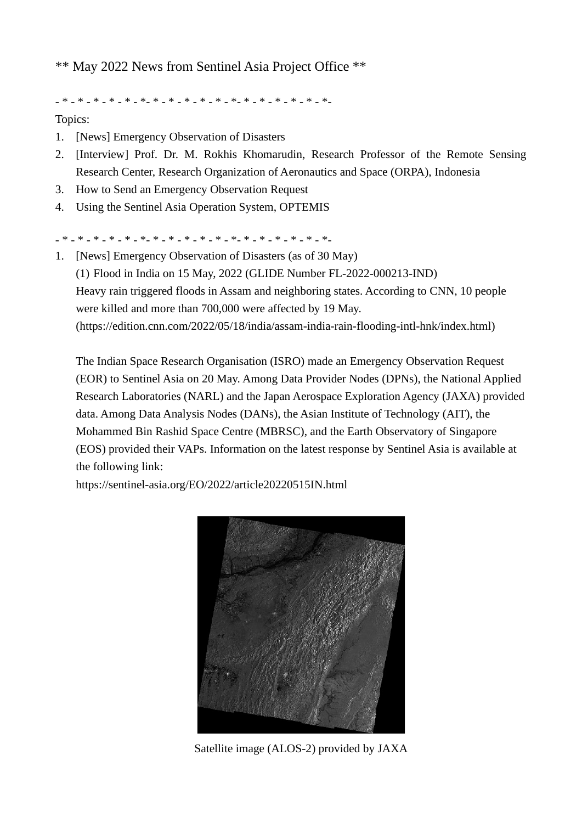\*\* May 2022 News from Sentinel Asia Project Office \*\*

- \* - \* - \* - \* - \* - \*- \* - \* - \* - \* - \* - \*- \* - \* - \* - \* - \* - \*-

Topics:

- 1. [News] Emergency Observation of Disasters
- 2. [\[Interview\] Prof. Dr. M. Rokhis Khomarudin, Research Professor of the Remote Sensing](#page-2-0)  Research Center, Research Organization of Aeronautics and Space (ORPA), Indonesia
- 3. [How to Send an Emergency Observation Request](#page-6-0)
- 4. [Using the Sentinel Asia Operation System, OPTEMIS](#page-6-0)

- \* - \* - \* - \* - \* - \*- \* - \* - \* - \* - \* - \*- \* - \* - \* - \* - \* - \*-

1. [News] Emergency Observation of Disasters (as of 30 May) (1) Flood in India on 15 May, 2022 (GLIDE Number FL-2022-000213-IND) Heavy rain triggered floods in Assam and neighboring states. According to CNN, 10 people were killed and more than 700,000 were affected by 19 May. (https://edition.cnn.com/2022/05/18/india/assam-india-rain-flooding-intl-hnk/index.html)

The Indian Space Research Organisation (ISRO) made an Emergency Observation Request (EOR) to Sentinel Asia on 20 May. Among Data Provider Nodes (DPNs), the National Applied Research Laboratories (NARL) and the Japan Aerospace Exploration Agency (JAXA) provided data. Among Data Analysis Nodes (DANs), the Asian Institute of Technology (AIT), the Mohammed Bin Rashid Space Centre (MBRSC), and the Earth Observatory of Singapore (EOS) provided their VAPs. Information on the latest response by Sentinel Asia is available at the following link:

https://sentinel-asia.org/EO/2022/article20220515IN.html



Satellite image (ALOS-2) provided by JAXA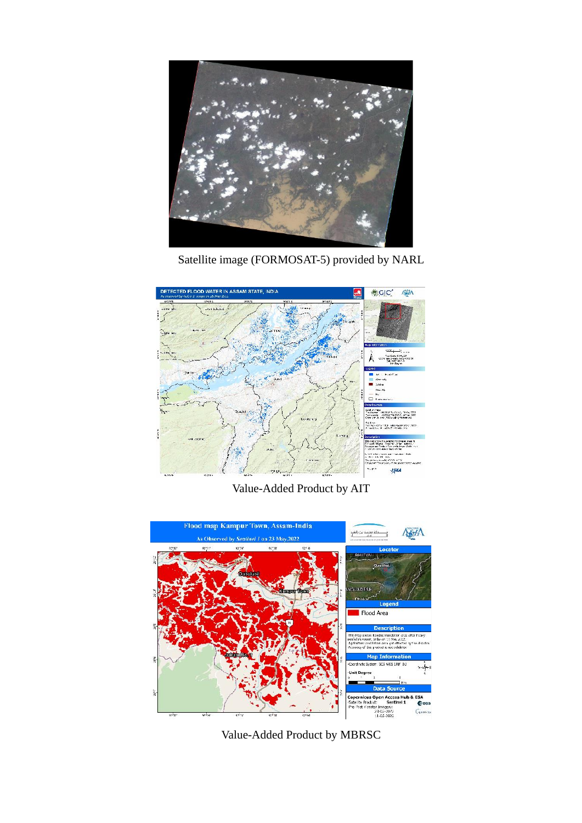

Satellite image (FORMOSAT-5) provided by NARL



Value-Added Product by AIT



Value-Added Product by MBRSC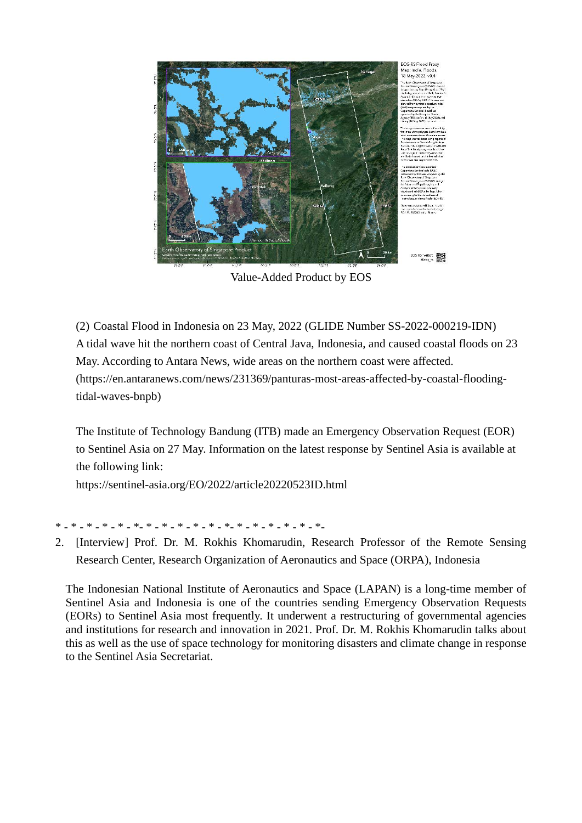<span id="page-2-0"></span>

Value-Added Product by EOS

(2) Coastal Flood in Indonesia on 23 May, 2022 (GLIDE Number SS-2022-000219-IDN) A tidal wave hit the northern coast of Central Java, Indonesia, and caused coastal floods on 23 May. According to Antara News, wide areas on the northern coast were affected. (https://en.antaranews.com/news/231369/panturas-most-areas-affected-by-coastal-floodingtidal-waves-bnpb)

The Institute of Technology Bandung (ITB) made an Emergency Observation Request (EOR) to Sentinel Asia on 27 May. Information on the latest response by Sentinel Asia is available at the following link:

https://sentinel-asia.org/EO/2022/article20220523ID.html

\* - \* - \* - \* - \* - \*- \* - \* - \* - \* - \* - \*- \* - \* - \* - \* - \* - \*-

2. [Interview] Prof. Dr. M. Rokhis Khomarudin, Research Professor of the Remote Sensing Research Center, Research Organization of Aeronautics and Space (ORPA), Indonesia

The Indonesian National Institute of Aeronautics and Space (LAPAN) is a long-time member of Sentinel Asia and Indonesia is one of the countries sending Emergency Observation Requests (EORs) to Sentinel Asia most frequently. It underwent a restructuring of governmental agencies and institutions for research and innovation in 2021. Prof. Dr. M. Rokhis Khomarudin talks about this as well as the use of space technology for monitoring disasters and climate change in response to the Sentinel Asia Secretariat.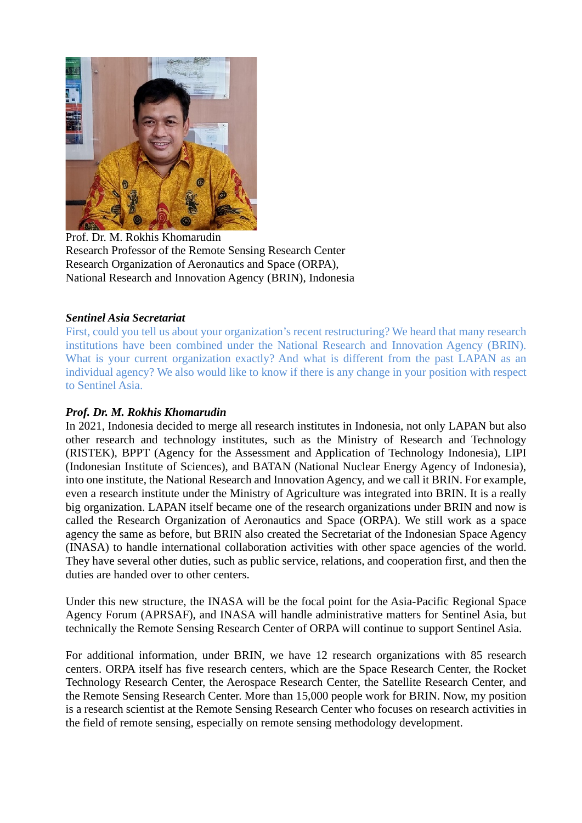

Prof. Dr. M. Rokhis Khomarudin Research Professor of the Remote Sensing Research Center Research Organization of Aeronautics and Space (ORPA), National Research and Innovation Agency (BRIN), Indonesia

# *Sentinel Asia Secretariat*

First, could you tell us about your organization's recent restructuring? We heard that many research institutions have been combined under the National Research and Innovation Agency (BRIN). What is your current organization exactly? And what is different from the past LAPAN as an individual agency? We also would like to know if there is any change in your position with respect to Sentinel Asia.

## *Prof. Dr. M. Rokhis Khomarudin*

In 2021, Indonesia decided to merge all research institutes in Indonesia, not only LAPAN but also other research and technology institutes, such as the Ministry of Research and Technology (RISTEK), BPPT (Agency for the Assessment and Application of Technology Indonesia), LIPI (Indonesian Institute of Sciences), and BATAN (National Nuclear Energy Agency of Indonesia), into one institute, the National Research and Innovation Agency, and we call it BRIN. For example, even a research institute under the Ministry of Agriculture was integrated into BRIN. It is a really big organization. LAPAN itself became one of the research organizations under BRIN and now is called the Research Organization of Aeronautics and Space (ORPA). We still work as a space agency the same as before, but BRIN also created the Secretariat of the Indonesian Space Agency (INASA) to handle international collaboration activities with other space agencies of the world. They have several other duties, such as public service, relations, and cooperation first, and then the duties are handed over to other centers.

Under this new structure, the INASA will be the focal point for the Asia-Pacific Regional Space Agency Forum (APRSAF), and INASA will handle administrative matters for Sentinel Asia, but technically the Remote Sensing Research Center of ORPA will continue to support Sentinel Asia.

For additional information, under BRIN, we have 12 research organizations with 85 research centers. ORPA itself has five research centers, which are the Space Research Center, the Rocket Technology Research Center, the Aerospace Research Center, the Satellite Research Center, and the Remote Sensing Research Center. More than 15,000 people work for BRIN. Now, my position is a research scientist at the Remote Sensing Research Center who focuses on research activities in the field of remote sensing, especially on remote sensing methodology development.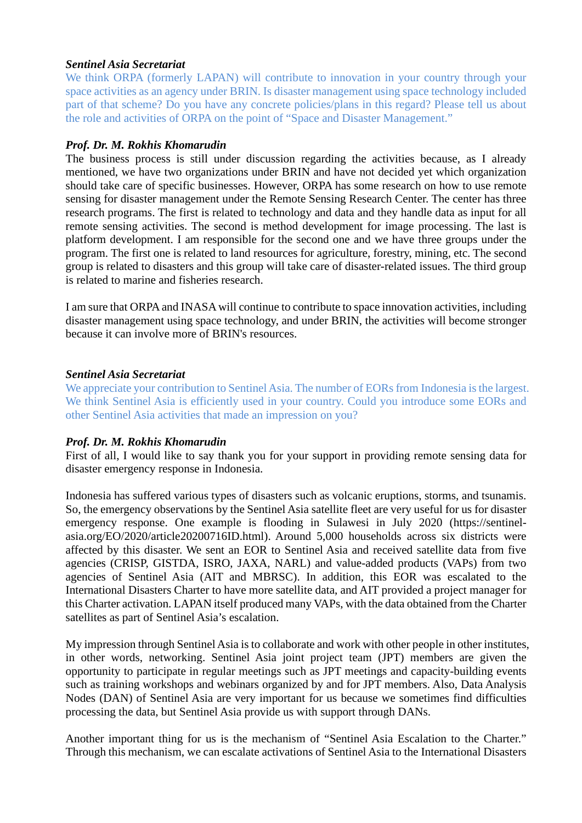## *Sentinel Asia Secretariat*

We think ORPA (formerly LAPAN) will contribute to innovation in your country through your space activities as an agency under BRIN. Is disaster management using space technology included part of that scheme? Do you have any concrete policies/plans in this regard? Please tell us about the role and activities of ORPA on the point of "Space and Disaster Management."

## *Prof. Dr. M. Rokhis Khomarudin*

The business process is still under discussion regarding the activities because, as I already mentioned, we have two organizations under BRIN and have not decided yet which organization should take care of specific businesses. However, ORPA has some research on how to use remote sensing for disaster management under the Remote Sensing Research Center. The center has three research programs. The first is related to technology and data and they handle data as input for all remote sensing activities. The second is method development for image processing. The last is platform development. I am responsible for the second one and we have three groups under the program. The first one is related to land resources for agriculture, forestry, mining, etc. The second group is related to disasters and this group will take care of disaster-related issues. The third group is related to marine and fisheries research.

I am sure that ORPA and INASA will continue to contribute to space innovation activities, including disaster management using space technology, and under BRIN, the activities will become stronger because it can involve more of BRIN's resources.

## *Sentinel Asia Secretariat*

We appreciate your contribution to Sentinel Asia. The number of EORs from Indonesia is the largest. We think Sentinel Asia is efficiently used in your country. Could you introduce some EORs and other Sentinel Asia activities that made an impression on you?

# *Prof. Dr. M. Rokhis Khomarudin*

First of all, I would like to say thank you for your support in providing remote sensing data for disaster emergency response in Indonesia.

Indonesia has suffered various types of disasters such as volcanic eruptions, storms, and tsunamis. So, the emergency observations by the Sentinel Asia satellite fleet are very useful for us for disaster emergency response. One example is flooding in Sulawesi in July 2020 (https://sentinelasia.org/EO/2020/article20200716ID.html). Around 5,000 households across six districts were affected by this disaster. We sent an EOR to Sentinel Asia and received satellite data from five agencies (CRISP, GISTDA, ISRO, JAXA, NARL) and value-added products (VAPs) from two agencies of Sentinel Asia (AIT and MBRSC). In addition, this EOR was escalated to the International Disasters Charter to have more satellite data, and AIT provided a project manager for this Charter activation. LAPAN itself produced many VAPs, with the data obtained from the Charter satellites as part of Sentinel Asia's escalation.

My impression through Sentinel Asia is to collaborate and work with other people in other institutes, in other words, networking. Sentinel Asia joint project team (JPT) members are given the opportunity to participate in regular meetings such as JPT meetings and capacity-building events such as training workshops and webinars organized by and for JPT members. Also, Data Analysis Nodes (DAN) of Sentinel Asia are very important for us because we sometimes find difficulties processing the data, but Sentinel Asia provide us with support through DANs.

Another important thing for us is the mechanism of "Sentinel Asia Escalation to the Charter." Through this mechanism, we can escalate activations of Sentinel Asia to the International Disasters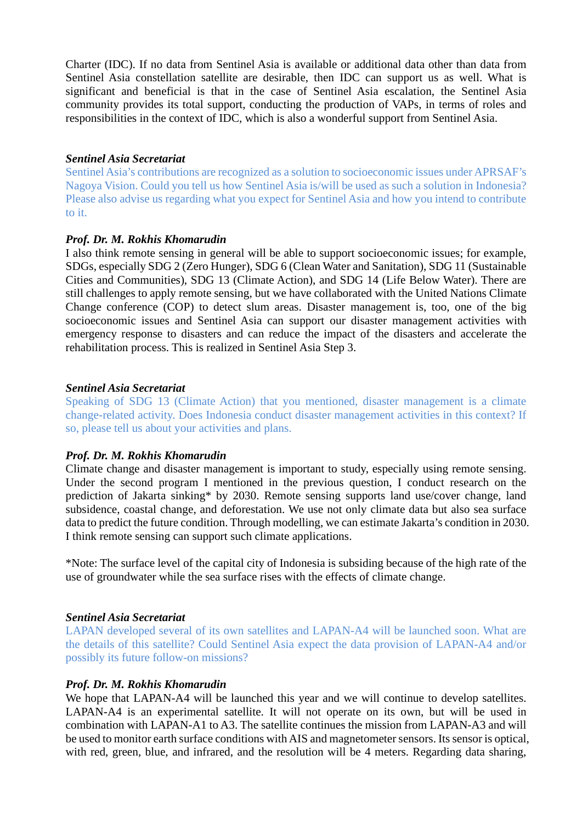Charter (IDC). If no data from Sentinel Asia is available or additional data other than data from Sentinel Asia constellation satellite are desirable, then IDC can support us as well. What is significant and beneficial is that in the case of Sentinel Asia escalation, the Sentinel Asia community provides its total support, conducting the production of VAPs, in terms of roles and responsibilities in the context of IDC, which is also a wonderful support from Sentinel Asia.

### *Sentinel Asia Secretariat*

Sentinel Asia's contributions are recognized as a solution to socioeconomic issues under APRSAF's Nagoya Vision. Could you tell us how Sentinel Asia is/will be used as such a solution in Indonesia? Please also advise us regarding what you expect for Sentinel Asia and how you intend to contribute to it.

### *Prof. Dr. M. Rokhis Khomarudin*

I also think remote sensing in general will be able to support socioeconomic issues; for example, SDGs, especially SDG 2 (Zero Hunger), SDG 6 (Clean Water and Sanitation), SDG 11 (Sustainable Cities and Communities), SDG 13 (Climate Action), and SDG 14 (Life Below Water). There are still challenges to apply remote sensing, but we have collaborated with the United Nations Climate Change conference (COP) to detect slum areas. Disaster management is, too, one of the big socioeconomic issues and Sentinel Asia can support our disaster management activities with emergency response to disasters and can reduce the impact of the disasters and accelerate the rehabilitation process. This is realized in Sentinel Asia Step 3.

### *Sentinel Asia Secretariat*

Speaking of SDG 13 (Climate Action) that you mentioned, disaster management is a climate change-related activity. Does Indonesia conduct disaster management activities in this context? If so, please tell us about your activities and plans.

### *Prof. Dr. M. Rokhis Khomarudin*

Climate change and disaster management is important to study, especially using remote sensing. Under the second program I mentioned in the previous question, I conduct research on the prediction of Jakarta sinking\* by 2030. Remote sensing supports land use/cover change, land subsidence, coastal change, and deforestation. We use not only climate data but also sea surface data to predict the future condition. Through modelling, we can estimate Jakarta's condition in 2030. I think remote sensing can support such climate applications.

\*Note: The surface level of the capital city of Indonesia is subsiding because of the high rate of the use of groundwater while the sea surface rises with the effects of climate change.

### *Sentinel Asia Secretariat*

LAPAN developed several of its own satellites and LAPAN-A4 will be launched soon. What are the details of this satellite? Could Sentinel Asia expect the data provision of LAPAN-A4 and/or possibly its future follow-on missions?

### *Prof. Dr. M. Rokhis Khomarudin*

We hope that LAPAN-A4 will be launched this year and we will continue to develop satellites. LAPAN-A4 is an experimental satellite. It will not operate on its own, but will be used in combination with LAPAN-A1 to A3. The satellite continues the mission from LAPAN-A3 and will be used to monitor earth surface conditions with AIS and magnetometer sensors. Its sensor is optical, with red, green, blue, and infrared, and the resolution will be 4 meters. Regarding data sharing,